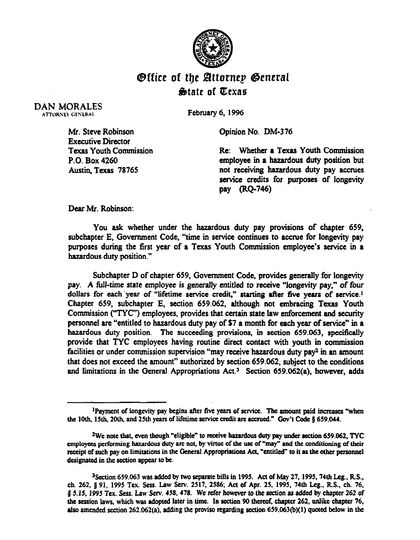

## *<u>Office of the Attornep General</u>* State of Texas

DAN MORALES ATTORNEY GENERAL

February 6, 1996

Mr. Steve Robinson Executive Director Texas Youth Commission P.O. Box 4260 Austin, Texas 78765

Opinion No. DM-376

Re: Whether a Texas Youth Commission employee in a hazardous duty position but not receiving hazardous duty pay accrues service credits for purposes of longevity pay (RQ-746)

Dear Mr. Robinson:

You ask whether under the hazardous duty pay provisions of chapter 659, subchapter E. Government Code, "time in service continues to accrue for longevity pay purposes during the first year of a Texas Youth Commission employee's service in a hazardous duty position."

Subchapter D of chapter 659, Government Code, provides generally for longevity pay. A full-time state employee is generally entitled to receive "longevity pay," of four dollars for each year of "lifetime service credit." starting after five years of service.<sup>1</sup> Chapter 659, subchapter E, section 659.062, although not embracing Texas Youth Commission ("TYC") employees, provides that certain state law enforcement and security personnel are "entitled to hazardous duty pay of S7 a month for each year of service" in a hazardous duty position. The succeeding provisions, in section 659.063, specifically provide that TYC employees having routine direct contact with youth in commission facilities or under commission supervision "may receive hazardous duty pay<sup>2</sup> in an amount that does not exceed the amount" authorized by section 659.062, subject to the conditions and limitations in the General Appropriations Act.<sup>3</sup> Section 659.062(a), however, adds

<sup>&</sup>lt;sup>1</sup>Payment of longevity pay begins after five years of service. The amount paid increases "when the 10th, 15th, 20th, and 25th years of lifetime service credit are accrued." Gov't Code § 659.044.

<sup>&</sup>lt;sup>2</sup>We note that, even though "eligible" to receive hazardous duty pay under section 659.062. TYC employees performing hazardous duty are not, by virtue of the use of "may" and the conditioning of their receipt of such pay on limitations in the General Appropriations Act, "entitled" to it as the other personnel designated in the section appear to be.

<sup>&</sup>lt;sup>3</sup> Section 659.063 was added by two separate bills in 1995. Act of May 27, 1995, 74th Leg., R.S., **ch. 262, 0 91, 1995 Tex. Ms. Law Serv. 2Sl7. 2586; Act of Apr. 25, 1995, 74th Leg., RS.. ch. 76, Q 5.15,1995 TCX. SCSS. Law WV. 458,478.** We refer however 10 the section as added hy chapter **262 of**  the session laws, which was adopted later in time. In section 90 thereof, chapter 262, unlike chapter 76, also amended section 262.062(a), adding the proviso regarding section 659.063(b)(1) quoted below in the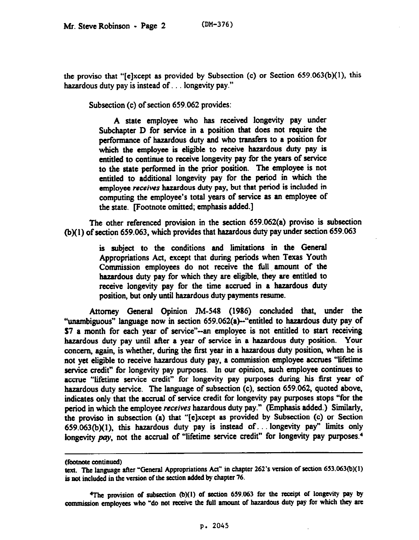the proviso that "[elxcept as provided by Subsection (c) or Section 659.063(b)(l), this hazardous duty pay is instead of  $\ldots$  longevity pay."

Subsection (c) of section 659.062 provides:

A state employee who has received longevity pay under Subchapter D for service in a position that does not require the performance of hazardous duty and who transfers to a position for which the employee is eligible to receive hazardous duty pay is entitled to continue to receive longevity pay for the years of service to the state performed in the prior position. The employee is not entitled to additional longevity pay for the period in which the employee receives hazardous duty pay, but that period is included in computing the employee's total years of service as an employee of the state. Footnote omitted; emphasis added.]

The other referenced provision in the section 659.062(a) proviso is subsection (b)(l) of section 659.063, which provides that hazardous duty pay under section 659.063

> is subject to the conditions and limitations in the General Appropriations Act, except that during periods when Texas Youth Commission employees do not receive the full, amount of the hazardous duty pay for which they are eligible, they are entitled to receive longevity pay for the time accrued in a hazardous duty position, but only until hazardous duty payments resume.

Attorney General Opinion TM-548 (1986) concluded that, under the "unambiguous" language now in section 659.062(a)--"entitled to hazardous duty pay of S7 a month for each year of service"-an employee is not entitled to start receiving hazardous duty pay until after a year of service in a hazardous duty position. Your concern, again, is whether, during the first year in a hazardous duty position, when he is not yet eligible to receive hazardous duty pay, a commission employee accrues "lifetime service credit" for longevity pay purposes. In our opinion, such employee continues to accrue "lifetime service credit" for longevity pay purposes during his first year of hazardous duty service. The language of subsection (c), section 659.062, quoted above, indicates only that the accrual of service credit for longevity pay purposes stops "for the period in which the employee receives hazardous duty pay." (Emphasis added.) Similarly, the proviso in subsection (a) that "[elxcept as provided by Subsection (c) or Section  $659.063(b)(1)$ , this hazardous duty pay is instead of... longevity pay" limits only longevity pay, not the accrual of "lifetime service credit" for longevity pay purposes.<sup>4</sup>

<sup>4</sup>The provision of subsection (b)(1) of section 659.063 for the receipt of longevity pay by commission employees who "do not receive the full amount of hazardous duty pay for which they are

**<sup>(</sup>footnote continued)** 

text. The language after "General Appropriations Act" in chapter 262's version of section 653.063(b)(1) **is not included in the version of the section added by chapter 76.**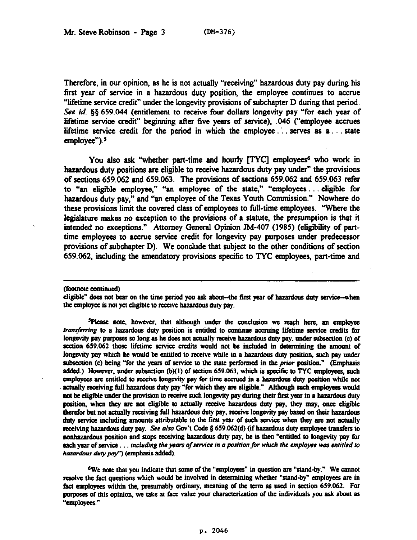Therefore, in our opinion, as he is not actually "receiving" hazardous duty pay during his first year of service in a hazardous duty position, the employee continues to accrue "lifetime service credit" under the longevity provisions of subchapter D during that period. See id. §§ 659.044 (entitlement to receive four dollars longevity pay "for each year of lifetime service credit" beginning after five years of service), .046 ("employee accrues lifetime service credit for the period in which the employee... serves as  $a \dots$  state  $emplovee$ "). $5$ 

You also ask "whether part-time and hourly [TYC] employees<sup>6</sup> who work in hazardous duty positions are eligible to receive hazardous duty pay under" the provisions of sections 659.062 and 659.963. The provisions of sections 659.062 and 659.063 refer to "an eligible employee," "an employee of the state," "employees. . . eligible for hazardous duty pay," and "an employee of the Texas Youth Commission." Nowhere do these provisions limit the covered class of employees to full-time employees. 'Where the legislature makes no exception to the provisions of a statute, the presumption is that it intended no exceptions." Attorney General Opinion JM-407 (1985) (eligibility of parttime employees to accrue service credit for longevity pay purposes under predecessor provisions of subchapter D). We conclude that subject to the other conditions of section 659.062, including the amendatory provisions specific to TYC employees, part-time and

(footnote continued)

<sup>5</sup>Please note, however, that although under the conclusion we reach here, an employee *transferring* to a hazardous duty position is entitled to continue accruing lifetime service credits for longevity pay purposes so long as he does not actually receive hazardous duty pay, under subsection (c) of section 659.062 those lifetime service credits would not be included in determining the amount of longevity pay which he would be entitled to receive while in a hazardous duty position, such pay under subsection (c) being "for the years of service to the state performed in the *prior* position." (Emphasis added.) However, under subsection (b)(1) of section 659.063, which is specific to TYC employees, such employees are entitled to receive longevity pay for time accrued in a hazardous duty position while not actually receiving full hazardous duty pay "for which they are eligible." Although such employees would not be eligible under the provision to receive such longevity pay during their first year in a hazardous duty position, when they are not eligible to actually receive hazardous duty pay, they may, once eligible therefor but not actually receiving full hazardous duty pay, receive longevity pay based on their hazardous duty service including amounts attributable to the first year of such service when they are not actually receiving hazardous duty pay. See also Gov't Code § 659.062(d) (if hazardous duty employee transfers to nonhazardous position and stops receiving hazardous duty pay, he is then "entitled to longevity pay for **each year of service ... including the years of service in a position for which the employee was entitled to** hazardous duty pay") (emphasis added).

<sup>6</sup>We note that you indicate that some of the "employees" in question are "stand-by." We cannot resolve the fact questions which would be involved in determining whether "stand-by" employees are in fact employees within the, presumably ordinary, meaning of the term as used in section 659.062. For purposes of this opinion, we take at face value your characterization of the individuals you ask about as "employees."

eligible" does not bear on the time period you ask about--the first year of hazardous duty service-when the employee is not yet eligible to receive hazardous duty pay.